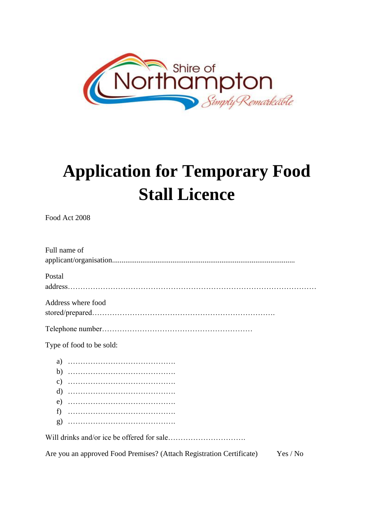

## **Application for Temporary Food Stall Licence**

Food Act 2008

| Full name of                                                                  |
|-------------------------------------------------------------------------------|
|                                                                               |
| Postal                                                                        |
|                                                                               |
| Address where food                                                            |
|                                                                               |
|                                                                               |
| Type of food to be sold:                                                      |
|                                                                               |
|                                                                               |
|                                                                               |
|                                                                               |
|                                                                               |
|                                                                               |
|                                                                               |
|                                                                               |
| Are you an approved Food Premises? (Attach Registration Certificate) Yes / No |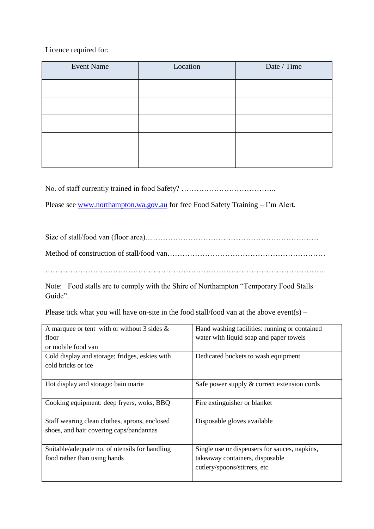## Licence required for:

| <b>Event Name</b> | Location | Date / Time |
|-------------------|----------|-------------|
|                   |          |             |
|                   |          |             |
|                   |          |             |
|                   |          |             |
|                   |          |             |

No. of staff currently trained in food Safety? ………………………………..

Please see [www.northampton.wa.gov.au](http://www.northampton.wa.gov.au/) for free Food Safety Training - I'm Alert.

Size of stall/food van (floor area)....………………………………………………………… Method of construction of stall/food van……………………………………………………… ………………………………………………………………………………………………….

Note: Food stalls are to comply with the Shire of Northampton "Temporary Food Stalls Guide".

Please tick what you will have on-site in the food stall/food van at the above event(s) –

| A marquee or tent with or without 3 sides $\&$ | Hand washing facilities: running or contained |
|------------------------------------------------|-----------------------------------------------|
| floor                                          | water with liquid soap and paper towels       |
| or mobile food van                             |                                               |
| Cold display and storage; fridges, eskies with | Dedicated buckets to wash equipment           |
| cold bricks or ice                             |                                               |
|                                                |                                               |
| Hot display and storage: bain marie            | Safe power supply & correct extension cords   |
|                                                |                                               |
| Cooking equipment: deep fryers, woks, BBQ      | Fire extinguisher or blanket                  |
|                                                |                                               |
| Staff wearing clean clothes, aprons, enclosed  | Disposable gloves available                   |
| shoes, and hair covering caps/bandannas        |                                               |
|                                                |                                               |
| Suitable/adequate no. of utensils for handling | Single use or dispensers for sauces, napkins, |
| food rather than using hands                   | takeaway containers, disposable               |
|                                                | cutlery/spoons/stirrers, etc                  |
|                                                |                                               |